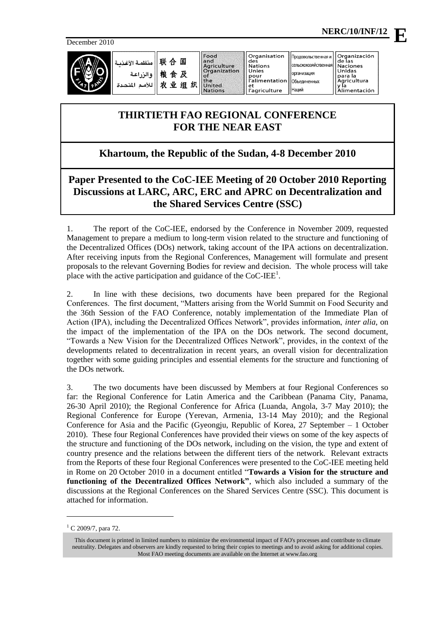December 2010



联合国 نظمة الأغذر 粮食及 والزراعة للأمم المتحدة

Food<br>and<br>Agriculture<br>Organization  $\circ$ f  $tha$ 农业组织 United **Nations** 

Organisation de: **Nations** Unies pour<br>l'alimentation ra<br>l'agriculture

Organización<br>de las Продовольственная и .<br>САЛЬСКОХОЗЯЙСТВАННА **Naciones** Unidas организация Объелиненных

Наций

# para la<br>Agricultura<br>Ma y la<br>Alimentación

## **THIRTIETH FAO REGIONAL CONFERENCE FOR THE NEAR EAST**

## **Khartoum, the Republic of the Sudan, 4-8 December 2010**

**Paper Presented to the CoC-IEE Meeting of 20 October 2010 Reporting Discussions at LARC, ARC, ERC and APRC on Decentralization and the Shared Services Centre (SSC)**

1. The report of the CoC-IEE, endorsed by the Conference in November 2009, requested Management to prepare a medium to long-term vision related to the structure and functioning of the Decentralized Offices (DOs) network, taking account of the IPA actions on decentralization. After receiving inputs from the Regional Conferences, Management will formulate and present proposals to the relevant Governing Bodies for review and decision. The whole process will take place with the active participation and guidance of the  $CoC$ -IEE $^1$ .

2. In line with these decisions, two documents have been prepared for the Regional Conferences. The first document, "Matters arising from the World Summit on Food Security and the 36th Session of the FAO Conference, notably implementation of the Immediate Plan of Action (IPA), including the Decentralized Offices Network", provides information, *inter alia*, on the impact of the implementation of the IPA on the DOs network. The second document, "Towards a New Vision for the Decentralized Offices Network", provides, in the context of the developments related to decentralization in recent years, an overall vision for decentralization together with some guiding principles and essential elements for the structure and functioning of the DOs network.

3. The two documents have been discussed by Members at four Regional Conferences so far: the Regional Conference for Latin America and the Caribbean (Panama City, Panama, 26-30 April 2010); the Regional Conference for Africa (Luanda, Angola, 3-7 May 2010); the Regional Conference for Europe (Yerevan, Armenia, 13-14 May 2010); and the Regional Conference for Asia and the Pacific (Gyeongju, Republic of Korea, 27 September – 1 October 2010). These four Regional Conferences have provided their views on some of the key aspects of the structure and functioning of the DOs network, including on the vision, the type and extent of country presence and the relations between the different tiers of the network. Relevant extracts from the Reports of these four Regional Conferences were presented to the CoC-IEE meeting held in Rome on 20 October 2010 in a document entitled "**Towards a Vision for the structure and functioning of the Decentralized Offices Network"**, which also included a summary of the discussions at the Regional Conferences on the Shared Services Centre (SSC). This document is attached for information.

-

**E**

 $^{1}$  C 2009/7, para 72.

This document is printed in limited numbers to minimize the environmental impact of FAO's processes and contribute to climate neutrality. Delegates and observers are kindly requested to bring their copies to meetings and to avoid asking for additional copies. Most FAO meeting documents are available on the Internet at www.fao.org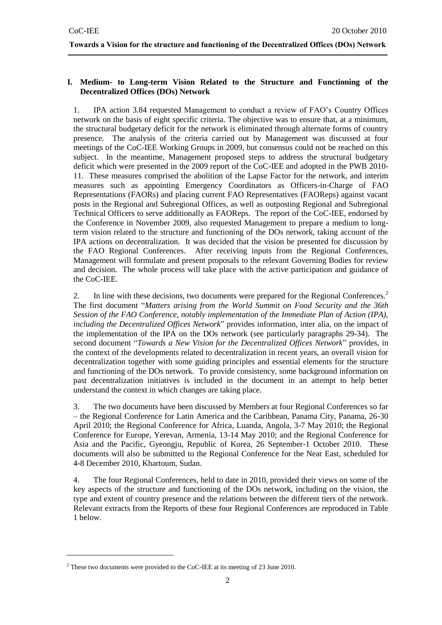**Towards a Vision for the structure and functioning of the Decentralized Offices (DOs) Network**

#### **I. Medium- to Long-term Vision Related to the Structure and Functioning of the Decentralized Offices (DOs) Network**

1. IPA action 3.84 requested Management to conduct a review of FAO's Country Offices network on the basis of eight specific criteria. The objective was to ensure that, at a minimum, the structural budgetary deficit for the network is eliminated through alternate forms of country presence. The analysis of the criteria carried out by Management was discussed at four meetings of the CoC-IEE Working Groups in 2009, but consensus could not be reached on this subject. In the meantime, Management proposed steps to address the structural budgetary deficit which were presented in the 2009 report of the CoC-IEE and adopted in the PWB 2010- 11. These measures comprised the abolition of the Lapse Factor for the network, and interim measures such as appointing Emergency Coordinators as Officers-in-Charge of FAO Representations (FAORs) and placing current FAO Representatives (FAOReps) against vacant posts in the Regional and Subregional Offices, as well as outposting Regional and Subregional Technical Officers to serve additionally as FAOReps. The report of the CoC-IEE, endorsed by the Conference in November 2009, also requested Management to prepare a medium to longterm vision related to the structure and functioning of the DOs network, taking account of the IPA actions on decentralization. It was decided that the vision be presented for discussion by the FAO Regional Conferences. After receiving inputs from the Regional Conferences, Management will formulate and present proposals to the relevant Governing Bodies for review and decision. The whole process will take place with the active participation and guidance of the CoC-IEE.

2. In line with these decisions, two documents were prepared for the Regional Conferences.<sup>2</sup> The first document "*Matters arising from the World Summit on Food Security and the 36th Session of the FAO Conference, notably implementation of the Immediate Plan of Action (IPA), including the Decentralized Offices Network*" provides information, inter alia, on the impact of the implementation of the IPA on the DOs network (see particularly paragraphs 29-34). The second document "*Towards a New Vision for the Decentralized Offices Network*" provides, in the context of the developments related to decentralization in recent years, an overall vision for decentralization together with some guiding principles and essential elements for the structure and functioning of the DOs network. To provide consistency, some background information on past decentralization initiatives is included in the document in an attempt to help better understand the context in which changes are taking place.

3. The two documents have been discussed by Members at four Regional Conferences so far – the Regional Conference for Latin America and the Caribbean, Panama City, Panama, 26-30 April 2010; the Regional Conference for Africa, Luanda, Angola, 3-7 May 2010; the Regional Conference for Europe, Yerevan, Armenia, 13-14 May 2010; and the Regional Conference for Asia and the Pacific, Gyeongju, Republic of Korea, 26 September-1 October 2010. These documents will also be submitted to the Regional Conference for the Near East, scheduled for 4-8 December 2010, Khartoum, Sudan.

4. The four Regional Conferences, held to date in 2010, provided their views on some of the key aspects of the structure and functioning of the DOs network, including on the vision, the type and extent of country presence and the relations between the different tiers of the network. Relevant extracts from the Reports of these four Regional Conferences are reproduced in Table 1 below.

1

 $2$  These two documents were provided to the CoC-IEE at its meeting of 23 June 2010.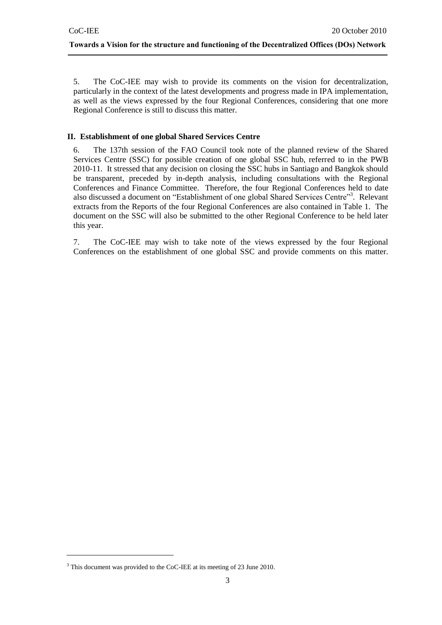5. The CoC-IEE may wish to provide its comments on the vision for decentralization, particularly in the context of the latest developments and progress made in IPA implementation, as well as the views expressed by the four Regional Conferences, considering that one more Regional Conference is still to discuss this matter.

#### **II. Establishment of one global Shared Services Centre**

6. The 137th session of the FAO Council took note of the planned review of the Shared Services Centre (SSC) for possible creation of one global SSC hub, referred to in the PWB 2010-11. It stressed that any decision on closing the SSC hubs in Santiago and Bangkok should be transparent, preceded by in-depth analysis, including consultations with the Regional Conferences and Finance Committee. Therefore, the four Regional Conferences held to date also discussed a document on "Establishment of one global Shared Services Centre"<sup>3</sup>. Relevant extracts from the Reports of the four Regional Conferences are also contained in Table 1. The document on the SSC will also be submitted to the other Regional Conference to be held later this year.

7. The CoC-IEE may wish to take note of the views expressed by the four Regional Conferences on the establishment of one global SSC and provide comments on this matter.

1

<sup>&</sup>lt;sup>3</sup> This document was provided to the CoC-IEE at its meeting of 23 June 2010.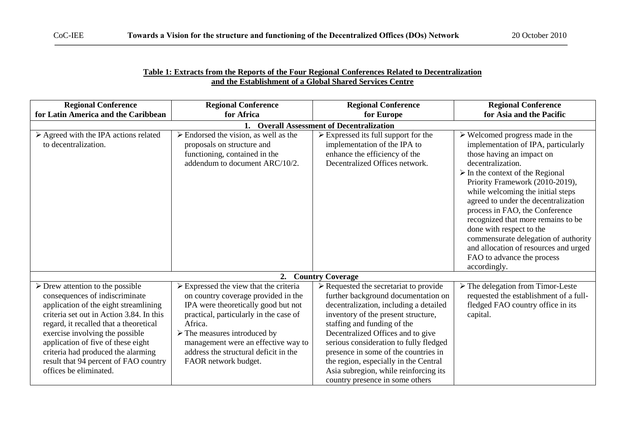#### **Table 1: Extracts from the Reports of the Four Regional Conferences Related to Decentralization and the Establishment of a Global Shared Services Centre**

| <b>Regional Conference</b><br>for Latin America and the Caribbean                                                                                                                                                                                                                                                                                                                                  | <b>Regional Conference</b><br>for Africa                                                                                                                                                                                                                                                                                                        | <b>Regional Conference</b><br>for Europe                                                                                                                                                                                                                                                                                                                                                                                                                 | <b>Regional Conference</b><br>for Asia and the Pacific                                                                                                                                                                                                                                                                                                                                                                                                                                                                                        |
|----------------------------------------------------------------------------------------------------------------------------------------------------------------------------------------------------------------------------------------------------------------------------------------------------------------------------------------------------------------------------------------------------|-------------------------------------------------------------------------------------------------------------------------------------------------------------------------------------------------------------------------------------------------------------------------------------------------------------------------------------------------|----------------------------------------------------------------------------------------------------------------------------------------------------------------------------------------------------------------------------------------------------------------------------------------------------------------------------------------------------------------------------------------------------------------------------------------------------------|-----------------------------------------------------------------------------------------------------------------------------------------------------------------------------------------------------------------------------------------------------------------------------------------------------------------------------------------------------------------------------------------------------------------------------------------------------------------------------------------------------------------------------------------------|
| 1. Overall Assessment of Decentralization                                                                                                                                                                                                                                                                                                                                                          |                                                                                                                                                                                                                                                                                                                                                 |                                                                                                                                                                                                                                                                                                                                                                                                                                                          |                                                                                                                                                                                                                                                                                                                                                                                                                                                                                                                                               |
| $\triangleright$ Agreed with the IPA actions related<br>to decentralization.                                                                                                                                                                                                                                                                                                                       | $\triangleright$ Endorsed the vision, as well as the<br>proposals on structure and<br>functioning, contained in the<br>addendum to document ARC/10/2.                                                                                                                                                                                           | $\triangleright$ Expressed its full support for the<br>implementation of the IPA to<br>enhance the efficiency of the<br>Decentralized Offices network.                                                                                                                                                                                                                                                                                                   | $\triangleright$ Welcomed progress made in the<br>implementation of IPA, particularly<br>those having an impact on<br>decentralization.<br>$\triangleright$ In the context of the Regional<br>Priority Framework (2010-2019),<br>while welcoming the initial steps<br>agreed to under the decentralization<br>process in FAO, the Conference<br>recognized that more remains to be<br>done with respect to the<br>commensurate delegation of authority<br>and allocation of resources and urged<br>FAO to advance the process<br>accordingly. |
|                                                                                                                                                                                                                                                                                                                                                                                                    | 2.                                                                                                                                                                                                                                                                                                                                              | <b>Country Coverage</b>                                                                                                                                                                                                                                                                                                                                                                                                                                  |                                                                                                                                                                                                                                                                                                                                                                                                                                                                                                                                               |
| $\triangleright$ Drew attention to the possible<br>consequences of indiscriminate<br>application of the eight streamlining<br>criteria set out in Action 3.84. In this<br>regard, it recalled that a theoretical<br>exercise involving the possible<br>application of five of these eight<br>criteria had produced the alarming<br>result that 94 percent of FAO country<br>offices be eliminated. | $\triangleright$ Expressed the view that the criteria<br>on country coverage provided in the<br>IPA were theoretically good but not<br>practical, particularly in the case of<br>Africa.<br>$\triangleright$ The measures introduced by<br>management were an effective way to<br>address the structural deficit in the<br>FAOR network budget. | $\triangleright$ Requested the secretariat to provide<br>further background documentation on<br>decentralization, including a detailed<br>inventory of the present structure,<br>staffing and funding of the<br>Decentralized Offices and to give<br>serious consideration to fully fledged<br>presence in some of the countries in<br>the region, especially in the Central<br>Asia subregion, while reinforcing its<br>country presence in some others | $\triangleright$ The delegation from Timor-Leste<br>requested the establishment of a full-<br>fledged FAO country office in its<br>capital.                                                                                                                                                                                                                                                                                                                                                                                                   |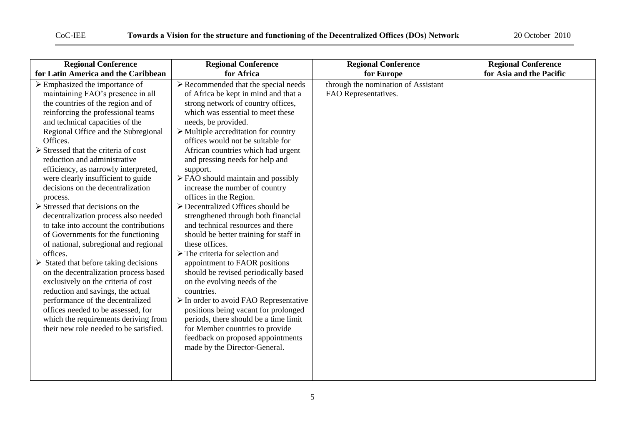| <b>Regional Conference</b>                                                                                                                                                                                                                                                                                                                                                                                                                                                                                                                                                                                                                                                                                                                                                                                                                                                                                                                                                                                                                          | <b>Regional Conference</b>                                                                                                                                                                                                                                                                                                                                                                                                                                                                                                                                                                                                                                                                                                                                                                                                                                                                                                                                                                                                                                                                                               | <b>Regional Conference</b>                                  | <b>Regional Conference</b> |
|-----------------------------------------------------------------------------------------------------------------------------------------------------------------------------------------------------------------------------------------------------------------------------------------------------------------------------------------------------------------------------------------------------------------------------------------------------------------------------------------------------------------------------------------------------------------------------------------------------------------------------------------------------------------------------------------------------------------------------------------------------------------------------------------------------------------------------------------------------------------------------------------------------------------------------------------------------------------------------------------------------------------------------------------------------|--------------------------------------------------------------------------------------------------------------------------------------------------------------------------------------------------------------------------------------------------------------------------------------------------------------------------------------------------------------------------------------------------------------------------------------------------------------------------------------------------------------------------------------------------------------------------------------------------------------------------------------------------------------------------------------------------------------------------------------------------------------------------------------------------------------------------------------------------------------------------------------------------------------------------------------------------------------------------------------------------------------------------------------------------------------------------------------------------------------------------|-------------------------------------------------------------|----------------------------|
| for Latin America and the Caribbean                                                                                                                                                                                                                                                                                                                                                                                                                                                                                                                                                                                                                                                                                                                                                                                                                                                                                                                                                                                                                 | for Africa                                                                                                                                                                                                                                                                                                                                                                                                                                                                                                                                                                                                                                                                                                                                                                                                                                                                                                                                                                                                                                                                                                               | for Europe                                                  | for Asia and the Pacific   |
| $\triangleright$ Emphasized the importance of<br>maintaining FAO's presence in all<br>the countries of the region and of<br>reinforcing the professional teams<br>and technical capacities of the<br>Regional Office and the Subregional<br>Offices.<br>$\triangleright$ Stressed that the criteria of cost<br>reduction and administrative<br>efficiency, as narrowly interpreted,<br>were clearly insufficient to guide<br>decisions on the decentralization<br>process.<br>$\triangleright$ Stressed that decisions on the<br>decentralization process also needed<br>to take into account the contributions<br>of Governments for the functioning<br>of national, subregional and regional<br>offices.<br>$\triangleright$ Stated that before taking decisions<br>on the decentralization process based<br>exclusively on the criteria of cost<br>reduction and savings, the actual<br>performance of the decentralized<br>offices needed to be assessed, for<br>which the requirements deriving from<br>their new role needed to be satisfied. | $\triangleright$ Recommended that the special needs<br>of Africa be kept in mind and that a<br>strong network of country offices,<br>which was essential to meet these<br>needs, be provided.<br>$\triangleright$ Multiple accreditation for country<br>offices would not be suitable for<br>African countries which had urgent<br>and pressing needs for help and<br>support.<br>$\triangleright$ FAO should maintain and possibly<br>increase the number of country<br>offices in the Region.<br>$\triangleright$ Decentralized Offices should be<br>strengthened through both financial<br>and technical resources and there<br>should be better training for staff in<br>these offices.<br>$\triangleright$ The criteria for selection and<br>appointment to FAOR positions<br>should be revised periodically based<br>on the evolving needs of the<br>countries.<br>$\triangleright$ In order to avoid FAO Representative<br>positions being vacant for prolonged<br>periods, there should be a time limit<br>for Member countries to provide<br>feedback on proposed appointments<br>made by the Director-General. | through the nomination of Assistant<br>FAO Representatives. |                            |
|                                                                                                                                                                                                                                                                                                                                                                                                                                                                                                                                                                                                                                                                                                                                                                                                                                                                                                                                                                                                                                                     |                                                                                                                                                                                                                                                                                                                                                                                                                                                                                                                                                                                                                                                                                                                                                                                                                                                                                                                                                                                                                                                                                                                          |                                                             |                            |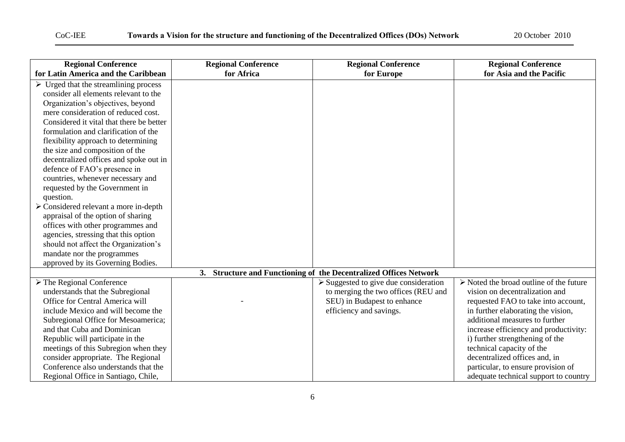| <b>Regional Conference</b>                           | <b>Regional Conference</b> | <b>Regional Conference</b>                                        | <b>Regional Conference</b>                             |
|------------------------------------------------------|----------------------------|-------------------------------------------------------------------|--------------------------------------------------------|
| for Latin America and the Caribbean                  | for Africa                 | for Europe                                                        | for Asia and the Pacific                               |
| $\triangleright$ Urged that the streamlining process |                            |                                                                   |                                                        |
| consider all elements relevant to the                |                            |                                                                   |                                                        |
| Organization's objectives, beyond                    |                            |                                                                   |                                                        |
| mere consideration of reduced cost.                  |                            |                                                                   |                                                        |
| Considered it vital that there be better             |                            |                                                                   |                                                        |
| formulation and clarification of the                 |                            |                                                                   |                                                        |
| flexibility approach to determining                  |                            |                                                                   |                                                        |
| the size and composition of the                      |                            |                                                                   |                                                        |
| decentralized offices and spoke out in               |                            |                                                                   |                                                        |
| defence of FAO's presence in                         |                            |                                                                   |                                                        |
| countries, whenever necessary and                    |                            |                                                                   |                                                        |
| requested by the Government in                       |                            |                                                                   |                                                        |
| question.                                            |                            |                                                                   |                                                        |
| $\triangleright$ Considered relevant a more in-depth |                            |                                                                   |                                                        |
| appraisal of the option of sharing                   |                            |                                                                   |                                                        |
| offices with other programmes and                    |                            |                                                                   |                                                        |
| agencies, stressing that this option                 |                            |                                                                   |                                                        |
| should not affect the Organization's                 |                            |                                                                   |                                                        |
| mandate nor the programmes                           |                            |                                                                   |                                                        |
| approved by its Governing Bodies.                    |                            |                                                                   |                                                        |
|                                                      |                            | 3. Structure and Functioning of the Decentralized Offices Network |                                                        |
| $\triangleright$ The Regional Conference             |                            | $\triangleright$ Suggested to give due consideration              | $\triangleright$ Noted the broad outline of the future |
| understands that the Subregional                     |                            | to merging the two offices (REU and                               | vision on decentralization and                         |
| Office for Central America will                      |                            | SEU) in Budapest to enhance                                       | requested FAO to take into account,                    |
| include Mexico and will become the                   |                            | efficiency and savings.                                           | in further elaborating the vision,                     |
| Subregional Office for Mesoamerica;                  |                            |                                                                   | additional measures to further                         |
| and that Cuba and Dominican                          |                            |                                                                   | increase efficiency and productivity:                  |
| Republic will participate in the                     |                            |                                                                   | i) further strengthening of the                        |
| meetings of this Subregion when they                 |                            |                                                                   | technical capacity of the                              |
| consider appropriate. The Regional                   |                            |                                                                   | decentralized offices and, in                          |
| Conference also understands that the                 |                            |                                                                   | particular, to ensure provision of                     |
| Regional Office in Santiago, Chile,                  |                            |                                                                   | adequate technical support to country                  |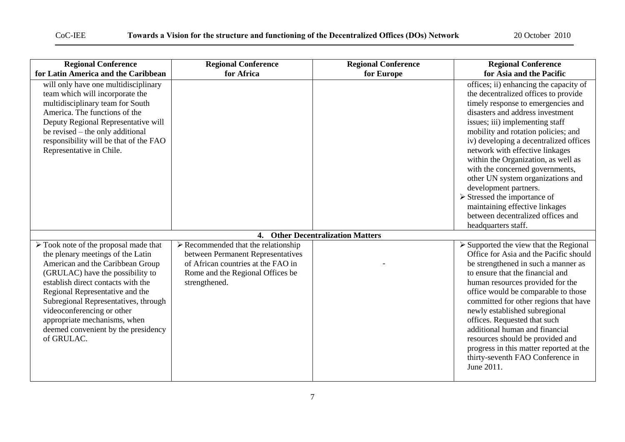### CoC-IEE **Towards a Vision for the structure and functioning of the Decentralized Offices (DOs) Network** 20 October 2010

| <b>Regional Conference</b>                                                                                                                                                                                                                                                                                                                                                                            | <b>Regional Conference</b>                                                                                                                                                         | <b>Regional Conference</b>        | <b>Regional Conference</b>                                                                                                                                                                                                                                                                                                                                                                                                                                                                                                              |
|-------------------------------------------------------------------------------------------------------------------------------------------------------------------------------------------------------------------------------------------------------------------------------------------------------------------------------------------------------------------------------------------------------|------------------------------------------------------------------------------------------------------------------------------------------------------------------------------------|-----------------------------------|-----------------------------------------------------------------------------------------------------------------------------------------------------------------------------------------------------------------------------------------------------------------------------------------------------------------------------------------------------------------------------------------------------------------------------------------------------------------------------------------------------------------------------------------|
| for Latin America and the Caribbean<br>will only have one multidisciplinary<br>team which will incorporate the<br>multidisciplinary team for South<br>America. The functions of the<br>Deputy Regional Representative will<br>be revised – the only additional<br>responsibility will be that of the FAO<br>Representative in Chile.                                                                  | for Africa                                                                                                                                                                         | for Europe                        | for Asia and the Pacific<br>offices; ii) enhancing the capacity of<br>the decentralized offices to provide<br>timely response to emergencies and<br>disasters and address investment<br>issues; iii) implementing staff<br>mobility and rotation policies; and<br>iv) developing a decentralized offices<br>network with effective linkages<br>within the Organization, as well as<br>with the concerned governments,<br>other UN system organizations and<br>development partners.<br>$\blacktriangleright$ Stressed the importance of |
|                                                                                                                                                                                                                                                                                                                                                                                                       |                                                                                                                                                                                    |                                   | maintaining effective linkages<br>between decentralized offices and                                                                                                                                                                                                                                                                                                                                                                                                                                                                     |
|                                                                                                                                                                                                                                                                                                                                                                                                       |                                                                                                                                                                                    |                                   | headquarters staff.                                                                                                                                                                                                                                                                                                                                                                                                                                                                                                                     |
|                                                                                                                                                                                                                                                                                                                                                                                                       |                                                                                                                                                                                    | 4. Other Decentralization Matters |                                                                                                                                                                                                                                                                                                                                                                                                                                                                                                                                         |
| $\triangleright$ Took note of the proposal made that<br>the plenary meetings of the Latin<br>American and the Caribbean Group<br>(GRULAC) have the possibility to<br>establish direct contacts with the<br>Regional Representative and the<br>Subregional Representatives, through<br>videoconferencing or other<br>appropriate mechanisms, when<br>deemed convenient by the presidency<br>of GRULAC. | $\triangleright$ Recommended that the relationship<br>between Permanent Representatives<br>of African countries at the FAO in<br>Rome and the Regional Offices be<br>strengthened. |                                   | $\triangleright$ Supported the view that the Regional<br>Office for Asia and the Pacific should<br>be strengthened in such a manner as<br>to ensure that the financial and<br>human resources provided for the<br>office would be comparable to those<br>committed for other regions that have<br>newly established subregional<br>offices. Requested that such<br>additional human and financial<br>resources should be provided and<br>progress in this matter reported at the<br>thirty-seventh FAO Conference in<br>June 2011.      |